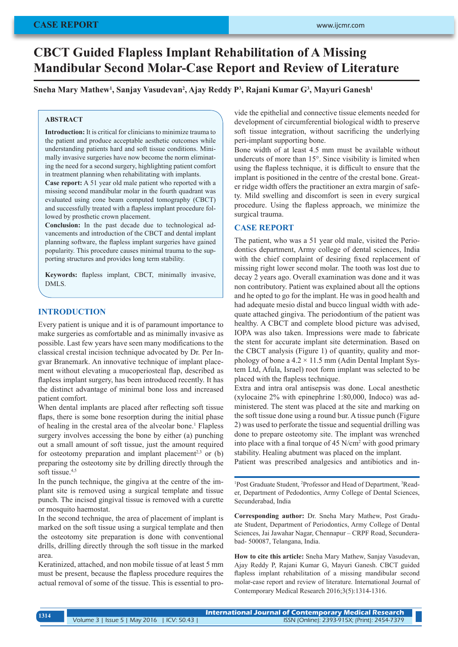# **CBCT Guided Flapless Implant Rehabilitation of A Missing Mandibular Second Molar-Case Report and Review of Literature**

## **Sneha Mary Mathew1 , Sanjay Vasudevan2 , Ajay Reddy P3 , Rajani Kumar G3 , Mayuri Ganesh1**

#### **ABSTRACT**

**Introduction:** It is critical for clinicians to minimize trauma to the patient and produce acceptable aesthetic outcomes while understanding patients hard and soft tissue conditions. Minimally invasive surgeries have now become the norm eliminating the need for a second surgery, highlighting patient comfort in treatment planning when rehabilitating with implants.

**Case report:** A 51 year old male patient who reported with a missing second mandibular molar in the fourth quadrant was evaluated using cone beam computed tomography (CBCT) and successfully treated with a flapless implant procedure followed by prosthetic crown placement.

**Conclusion:** In the past decade due to technological advancements and introduction of the CBCT and dental implant planning software, the flapless implant surgeries have gained popularity. This procedure causes minimal trauma to the supporting structures and provides long term stability.

**Keywords:** flapless implant, CBCT, minimally invasive, DMLS.

#### **INTRODUCTION**

Every patient is unique and it is of paramount importance to make surgeries as comfortable and as minimally invasive as possible. Last few years have seen many modifications to the classical crestal incision technique advocated by Dr. Per Ingvar Branemark. An innovative technique of implant placement without elevating a mucoperiosteal flap, described as flapless implant surgery, has been introduced recently. It has the distinct advantage of minimal bone loss and increased patient comfort.

When dental implants are placed after reflecting soft tissue flaps, there is some bone resorption during the initial phase of healing in the crestal area of the alveolar bone.<sup>1</sup> Flapless surgery involves accessing the bone by either (a) punching out a small amount of soft tissue, just the amount required for osteotomy preparation and implant placement<sup>2,3</sup> or (b) preparing the osteotomy site by drilling directly through the soft tissue.<sup>4,5</sup>

In the punch technique, the gingiva at the centre of the implant site is removed using a surgical template and tissue punch. The incised gingival tissue is removed with a curette or mosquito haemostat.

In the second technique, the area of placement of implant is marked on the soft tissue using a surgical template and then the osteotomy site preparation is done with conventional drills, drilling directly through the soft tissue in the marked area.

Keratinized, attached, and non mobile tissue of at least 5 mm must be present, because the flapless procedure requires the actual removal of some of the tissue. This is essential to provide the epithelial and connective tissue elements needed for development of circumferential biological width to preserve soft tissue integration, without sacrificing the underlying peri-implant supporting bone.

Bone width of at least 4.5 mm must be available without undercuts of more than 15°. Since visibility is limited when using the flapless technique, it is difficult to ensure that the implant is positioned in the centre of the crestal bone. Greater ridge width offers the practitioner an extra margin of safety. Mild swelling and discomfort is seen in every surgical procedure. Using the flapless approach, we minimize the surgical trauma.

#### **CASE REPORT**

The patient, who was a 51 year old male, visited the Periodontics department, Army college of dental sciences, India with the chief complaint of desiring fixed replacement of missing right lower second molar. The tooth was lost due to decay 2 years ago. Overall examination was done and it was non contributory. Patient was explained about all the options and he opted to go for the implant. He was in good health and had adequate mesio distal and bucco lingual width with adequate attached gingiva. The periodontium of the patient was healthy. A CBCT and complete blood picture was advised, IOPA was also taken. Impressions were made to fabricate the stent for accurate implant site determination. Based on the CBCT analysis (Figure 1) of quantity, quality and morphology of bone a  $4.2 \times 11.5$  mm (Adin Dental Implant System Ltd, Afula, Israel) root form implant was selected to be placed with the flapless technique.

Extra and intra oral antisepsis was done. Local anesthetic (xylocaine 2% with epinephrine 1:80,000, Indoco) was administered. The stent was placed at the site and marking on the soft tissue done using a round bur. A tissue punch (Figure 2) was used to perforate the tissue and sequential drilling was done to prepare osteotomy site. The implant was wrenched into place with a final torque of 45 N/cm<sup>2</sup> with good primary stability. Healing abutment was placed on the implant.

Patient was prescribed analgesics and antibiotics and in-

<sup>1</sup>Post Graduate Student, <sup>2</sup>Professor and Head of Department, <sup>3</sup>Reader, Department of Pedodontics, Army College of Dental Sciences, Secunderabad, India

**Corresponding author:** Dr. Sneha Mary Mathew, Post Graduate Student, Department of Periodontics, Army College of Dental Sciences, Jai Jawahar Nagar, Chennapur – CRPF Road, Secunderabad- 500087, Telangana, India.

**How to cite this article:** Sneha Mary Mathew, Sanjay Vasudevan, Ajay Reddy P, Rajani Kumar G, Mayuri Ganesh. CBCT guided flapless implant rehabilitation of a missing mandibular second molar-case report and review of literature. International Journal of Contemporary Medical Research 2016;3(5):1314-1316.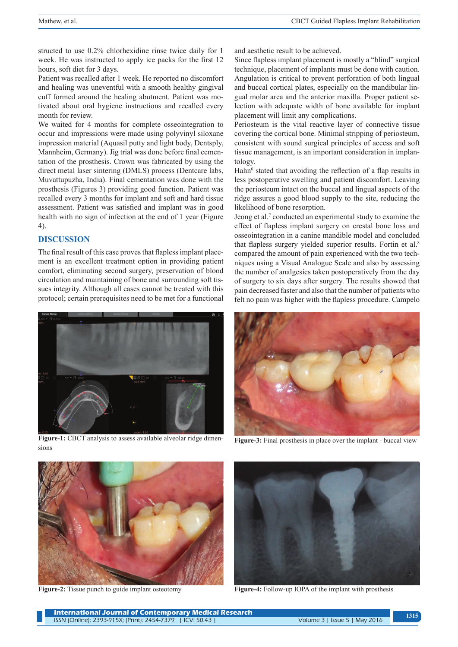structed to use 0.2% chlorhexidine rinse twice daily for 1 week. He was instructed to apply ice packs for the first 12 hours, soft diet for 3 days.

Patient was recalled after 1 week. He reported no discomfort and healing was uneventful with a smooth healthy gingival cuff formed around the healing abutment. Patient was motivated about oral hygiene instructions and recalled every month for review.

We waited for 4 months for complete osseointegration to occur and impressions were made using polyvinyl siloxane impression material (Aquasil putty and light body, Dentsply, Mannheim, Germany). Jig trial was done before final cementation of the prosthesis. Crown was fabricated by using the direct metal laser sintering (DMLS) process (Dentcare labs, Muvattupuzha, India). Final cementation was done with the prosthesis (Figures 3) providing good function. Patient was recalled every 3 months for implant and soft and hard tissue assessment. Patient was satisfied and implant was in good health with no sign of infection at the end of 1 year (Figure 4).

# **DISCUSSION**

The final result of this case proves that flapless implant placement is an excellent treatment option in providing patient comfort, eliminating second surgery, preservation of blood circulation and maintaining of bone and surrounding soft tissues integrity. Although all cases cannot be treated with this protocol; certain prerequisites need to be met for a functional



**Figure-1:** CBCT analysis to assess available alveolar ridge dimensions

and aesthetic result to be achieved.

Since flapless implant placement is mostly a "blind" surgical technique, placement of implants must be done with caution. Angulation is critical to prevent perforation of both lingual and buccal cortical plates, especially on the mandibular lingual molar area and the anterior maxilla. Proper patient selection with adequate width of bone available for implant placement will limit any complications.

Periosteum is the vital reactive layer of connective tissue covering the cortical bone. Minimal stripping of periosteum, consistent with sound surgical principles of access and soft tissue management, is an important consideration in implantology.

Hahn<sup>6</sup> stated that avoiding the reflection of a flap results in less postoperative swelling and patient discomfort. Leaving the periosteum intact on the buccal and lingual aspects of the ridge assures a good blood supply to the site, reducing the likelihood of bone resorption.

Jeong et al.<sup>7</sup> conducted an experimental study to examine the effect of flapless implant surgery on crestal bone loss and osseointegration in a canine mandible model and concluded that flapless surgery yielded superior results. Fortin et al.<sup>8</sup> compared the amount of pain experienced with the two techniques using a Visual Analogue Scale and also by assessing the number of analgesics taken postoperatively from the day of surgery to six days after surgery. The results showed that pain decreased faster and also that the number of patients who felt no pain was higher with the flapless procedure. Campelo



**Figure-3:** Final prosthesis in place over the implant - buccal view



**Figure-2:** Tissue punch to guide implant osteotomy



**Figure-4:** Follow-up IOPA of the implant with prosthesis

| <b>International Journal of Contemporary Medical Research</b> |                               | 1315 |
|---------------------------------------------------------------|-------------------------------|------|
| ISSN (Online): 2393-915X; (Print): 2454-7379   ICV: 50.43     | Volume 3   Issue 5   May 2016 |      |